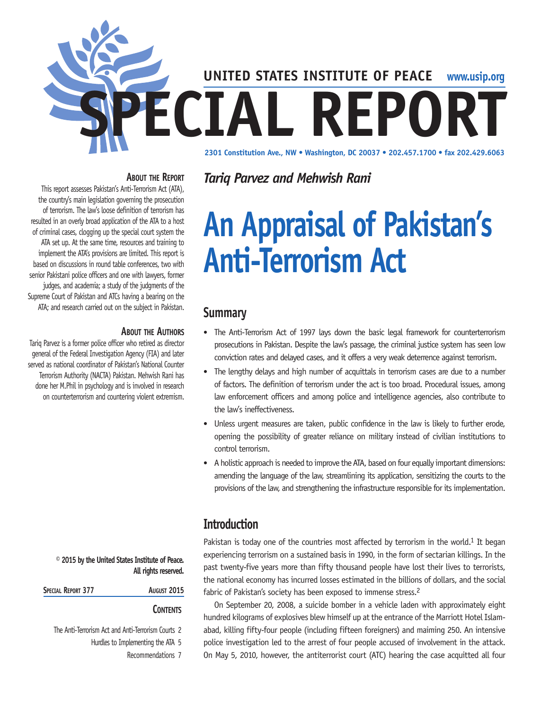

#### **About the Report**

This report assesses Pakistan's Anti-Terrorism Act (ATA), the country's main legislation governing the prosecution of terrorism. The law's loose definition of terrorism has resulted in an overly broad application of the ATA to a host of criminal cases, clogging up the special court system the ATA set up. At the same time, resources and training to implement the ATA's provisions are limited. This report is based on discussions in round table conferences, two with senior Pakistani police officers and one with lawyers, former judges, and academia; a study of the judgments of the Supreme Court of Pakistan and ATCs having a bearing on the ATA; and research carried out on the subject in Pakistan.

#### **About the Authors**

Tariq Parvez is a former police officer who retired as director general of the Federal Investigation Agency (FIA) and later served as national coordinator of Pakistan's National Counter Terrorism Authority (NACTA) Pakistan. Mehwish Rani has done her M.Phil in psychology and is involved in research on counterterrorism and countering violent extremism.

> **© 2015 by the United States Institute of Peace. All rights reserved.**

| SPECIAL REPORT 377 | <b>August 2015</b> |
|--------------------|--------------------|
|                    |                    |

#### **Contents**

The Anti-Terrorism Act and Anti-Terrorism Courts 2

Hurdles to Implementing the ATA 5

Recommendations 7

*Tariq Parvez and Mehwish Rani*

# **An Appraisal of Pakistan's Anti-Terrorism Act**

## **Summary**

- The Anti-Terrorism Act of 1997 lays down the basic legal framework for counterterrorism prosecutions in Pakistan. Despite the law's passage, the criminal justice system has seen low conviction rates and delayed cases, and it offers a very weak deterrence against terrorism.
- The lengthy delays and high number of acquittals in terrorism cases are due to a number of factors. The definition of terrorism under the act is too broad. Procedural issues, among law enforcement officers and among police and intelligence agencies, also contribute to the law's ineffectiveness.
- Unless urgent measures are taken, public confidence in the law is likely to further erode, opening the possibility of greater reliance on military instead of civilian institutions to control terrorism.
- A holistic approach is needed to improve the ATA, based on four equally important dimensions: amending the language of the law, streamlining its application, sensitizing the courts to the provisions of the law, and strengthening the infrastructure responsible for its implementation.

# **Introduction**

Pakistan is today one of the countries most affected by terrorism in the world.<sup>1</sup> It began experiencing terrorism on a sustained basis in 1990, in the form of sectarian killings. In the past twenty-five years more than fifty thousand people have lost their lives to terrorists, the national economy has incurred losses estimated in the billions of dollars, and the social fabric of Pakistan's society has been exposed to immense stress.<sup>2</sup>

On September 20, 2008, a suicide bomber in a vehicle laden with approximately eight hundred kilograms of explosives blew himself up at the entrance of the Marriott Hotel Islamabad, killing fifty-four people (including fifteen foreigners) and maiming 250. An intensive police investigation led to the arrest of four people accused of involvement in the attack. On May 5, 2010, however, the antiterrorist court (ATC) hearing the case acquitted all four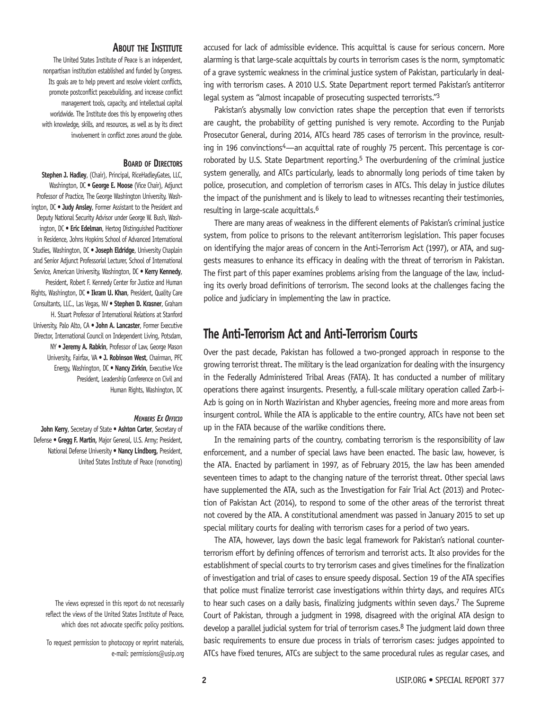#### **About the Institute**

The United States Institute of Peace is an independent, nonpartisan institution established and funded by Congress. Its goals are to help prevent and resolve violent conflicts, promote postconflict peacebuilding, and increase conflict management tools, capacity, and intellectual capital worldwide. The Institute does this by empowering others with knowledge, skills, and resources, as well as by its direct involvement in conflict zones around the globe.

#### **Board of Directors**

**Stephen J. Hadley**, (Chair), Principal, RiceHadleyGates, LLC, Washington, DC • **George E. Moose** (Vice Chair), Adjunct Professor of Practice, The George Washington University, Washington, DC • **Judy Ansley**, Former Assistant to the President and Deputy National Security Advisor under George W. Bush, Washington, DC • **Eric Edelman**, Hertog Distinguished Practitioner in Residence, Johns Hopkins School of Advanced International Studies, Washington, DC • **Joseph Eldridge**, University Chaplain and Senior Adjunct Professorial Lecturer, School of International Service, American University, Washington, DC • **Kerry Kennedy**, President, Robert F. Kennedy Center for Justice and Human Rights, Washington, DC • **Ikram U. Khan**, President, Quality Care Consultants, LLC., Las Vegas, NV • **Stephen D. Krasner**, Graham H. Stuart Professor of International Relations at Stanford University, Palo Alto, CA • **John A. Lancaster**, Former Executive Director, International Council on Independent Living, Potsdam, NY • **Jeremy A. Rabkin**, Professor of Law, George Mason University, Fairfax, VA • **J. Robinson West**, Chairman, PFC Energy, Washington, DC • **Nancy Zirkin**, Executive Vice President, Leadership Conference on Civil and Human Rights, Washington, DC

#### *Members Ex Officio*

**John Kerry**, Secretary of State **• Ashton Carter**, Secretary of Defense **• Gregg F. Martin,** Major General, U.S. Army; President, National Defense University **• Nancy Lindborg,** President, United States Institute of Peace (nonvoting)

The views expressed in this report do not necessarily reflect the views of the United States Institute of Peace, which does not advocate specific policy positions.

To request permission to photocopy or reprint materials, e-mail: permissions@usip.org accused for lack of admissible evidence. This acquittal is cause for serious concern. More alarming is that large-scale acquittals by courts in terrorism cases is the norm, symptomatic of a grave systemic weakness in the criminal justice system of Pakistan, particularly in dealing with terrorism cases. A 2010 U.S. State Department report termed Pakistan's antiterror legal system as "almost incapable of prosecuting suspected terrorists."3

Pakistan's abysmally low conviction rates shape the perception that even if terrorists are caught, the probability of getting punished is very remote. According to the Punjab Prosecutor General, during 2014, ATCs heard 785 cases of terrorism in the province, resulting in 196 convinctions<sup>4</sup>—an acquittal rate of roughly 75 percent. This percentage is corroborated by U.S. State Department reporting.<sup>5</sup> The overburdening of the criminal justice system generally, and ATCs particularly, leads to abnormally long periods of time taken by police, prosecution, and completion of terrorism cases in ATCs. This delay in justice dilutes the impact of the punishment and is likely to lead to witnesses recanting their testimonies, resulting in large-scale acquittals.6

There are many areas of weakness in the different elements of Pakistan's criminal justice system, from police to prisons to the relevant antiterrorism legislation. This paper focuses on identifying the major areas of concern in the Anti-Terrorism Act (1997), or ATA, and suggests measures to enhance its efficacy in dealing with the threat of terrorism in Pakistan. The first part of this paper examines problems arising from the language of the law, including its overly broad definitions of terrorism. The second looks at the challenges facing the police and judiciary in implementing the law in practice.

## **The Anti-Terrorism Act and Anti-Terrorism Courts**

Over the past decade, Pakistan has followed a two-pronged approach in response to the growing terrorist threat. The military is the lead organization for dealing with the insurgency in the Federally Administered Tribal Areas (FATA). It has conducted a number of military operations there against insurgents. Presently, a full-scale military operation called Zarb-i-Azb is going on in North Waziristan and Khyber agencies, freeing more and more areas from insurgent control. While the ATA is applicable to the entire country, ATCs have not been set up in the FATA because of the warlike conditions there.

In the remaining parts of the country, combating terrorism is the responsibility of law enforcement, and a number of special laws have been enacted. The basic law, however, is the ATA. Enacted by parliament in 1997, as of February 2015, the law has been amended seventeen times to adapt to the changing nature of the terrorist threat. Other special laws have supplemented the ATA, such as the Investigation for Fair Trial Act (2013) and Protection of Pakistan Act (2014), to respond to some of the other areas of the terrorist threat not covered by the ATA. A constitutional amendment was passed in January 2015 to set up special military courts for dealing with terrorism cases for a period of two years.

The ATA, however, lays down the basic legal framework for Pakistan's national counterterrorism effort by defining offences of terrorism and terrorist acts. It also provides for the establishment of special courts to try terrorism cases and gives timelines for the finalization of investigation and trial of cases to ensure speedy disposal. Section 19 of the ATA specifies that police must finalize terrorist case investigations within thirty days, and requires ATCs to hear such cases on a daily basis, finalizing judgments within seven days.<sup>7</sup> The Supreme Court of Pakistan, through a judgment in 1998, disagreed with the original ATA design to develop a parallel judicial system for trial of terrorism cases.<sup>8</sup> The judgment laid down three basic requirements to ensure due process in trials of terrorism cases: judges appointed to ATCs have fixed tenures, ATCs are subject to the same procedural rules as regular cases, and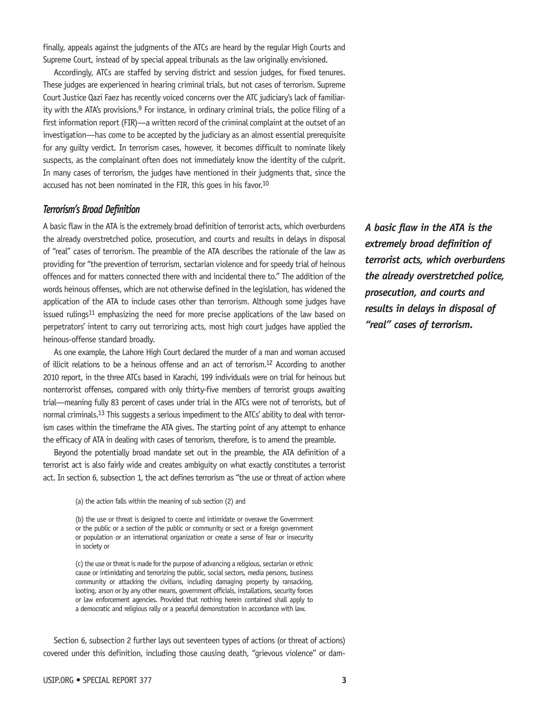finally, appeals against the judgments of the ATCs are heard by the regular High Courts and Supreme Court, instead of by special appeal tribunals as the law originally envisioned.

Accordingly, ATCs are staffed by serving district and session judges, for fixed tenures. These judges are experienced in hearing criminal trials, but not cases of terrorism. Supreme Court Justice Qazi Faez has recently voiced concerns over the ATC judiciary's lack of familiarity with the ATA's provisions.<sup>9</sup> For instance, in ordinary criminal trials, the police filing of a first information report (FIR)—a written record of the criminal complaint at the outset of an investigation—has come to be accepted by the judiciary as an almost essential prerequisite for any guilty verdict. In terrorism cases, however, it becomes difficult to nominate likely suspects, as the complainant often does not immediately know the identity of the culprit. In many cases of terrorism, the judges have mentioned in their judgments that, since the accused has not been nominated in the FIR, this goes in his favor.10

#### *Terrorism's Broad Definition*

A basic flaw in the ATA is the extremely broad definition of terrorist acts, which overburdens the already overstretched police, prosecution, and courts and results in delays in disposal of "real" cases of terrorism. The preamble of the ATA describes the rationale of the law as providing for "the prevention of terrorism, sectarian violence and for speedy trial of heinous offences and for matters connected there with and incidental there to." The addition of the words heinous offenses, which are not otherwise defined in the legislation, has widened the application of the ATA to include cases other than terrorism. Although some judges have issued rulings<sup>11</sup> emphasizing the need for more precise applications of the law based on perpetrators' intent to carry out terrorizing acts, most high court judges have applied the heinous-offense standard broadly.

As one example, the Lahore High Court declared the murder of a man and woman accused of illicit relations to be a heinous offense and an act of terrorism.12 According to another 2010 report, in the three ATCs based in Karachi, 199 individuals were on trial for heinous but nonterrorist offenses, compared with only thirty-five members of terrorist groups awaiting trial—meaning fully 83 percent of cases under trial in the ATCs were not of terrorists, but of normal criminals.13 This suggests a serious impediment to the ATCs' ability to deal with terrorism cases within the timeframe the ATA gives. The starting point of any attempt to enhance the efficacy of ATA in dealing with cases of terrorism, therefore, is to amend the preamble.

Beyond the potentially broad mandate set out in the preamble, the ATA definition of a terrorist act is also fairly wide and creates ambiguity on what exactly constitutes a terrorist act. In section 6, subsection 1, the act defines terrorism as "the use or threat of action where

(a) the action falls within the meaning of sub section (2) and

(b) the use or threat is designed to coerce and intimidate or overawe the Government or the public or a section of the public or community or sect or a foreign government or population or an international organization or create a sense of fear or insecurity in society or

(c) the use or threat is made for the purpose of advancing a religious, sectarian or ethnic cause or intimidating and terrorizing the public, social sectors, media persons, business community or attacking the civilians, including damaging property by ransacking, looting, arson or by any other means, government officials, installations, security forces or law enforcement agencies. Provided that nothing herein contained shall apply to a democratic and religious rally or a peaceful demonstration in accordance with law.

Section 6, subsection 2 further lays out seventeen types of actions (or threat of actions) covered under this definition, including those causing death, "grievous violence" or dam*A basic flaw in the ATA is the extremely broad definition of terrorist acts, which overburdens the already overstretched police, prosecution, and courts and results in delays in disposal of "real" cases of terrorism.*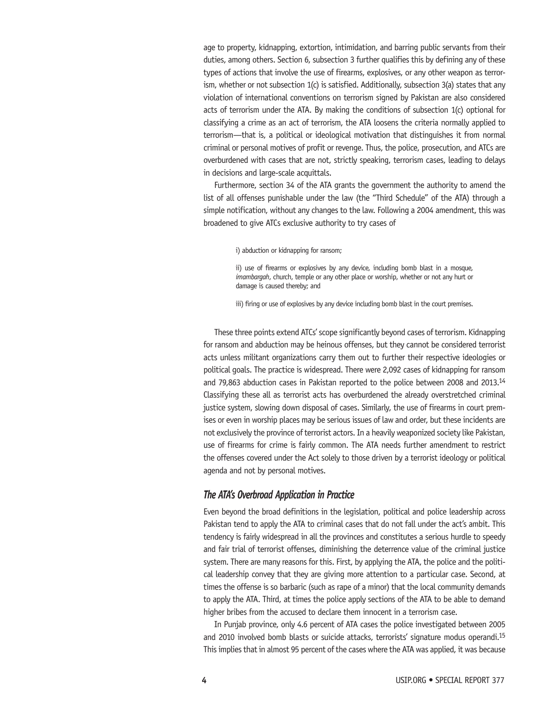age to property, kidnapping, extortion, intimidation, and barring public servants from their duties, among others. Section 6, subsection 3 further qualifies this by defining any of these types of actions that involve the use of firearms, explosives, or any other weapon as terrorism, whether or not subsection 1(c) is satisfied. Additionally, subsection 3(a) states that any violation of international conventions on terrorism signed by Pakistan are also considered acts of terrorism under the ATA. By making the conditions of subsection 1(c) optional for classifying a crime as an act of terrorism, the ATA loosens the criteria normally applied to terrorism—that is, a political or ideological motivation that distinguishes it from normal criminal or personal motives of profit or revenge. Thus, the police, prosecution, and ATCs are overburdened with cases that are not, strictly speaking, terrorism cases, leading to delays in decisions and large-scale acquittals.

Furthermore, section 34 of the ATA grants the government the authority to amend the list of all offenses punishable under the law (the "Third Schedule" of the ATA) through a simple notification, without any changes to the law. Following a 2004 amendment, this was broadened to give ATCs exclusive authority to try cases of

i) abduction or kidnapping for ransom;

ii) use of firearms or explosives by any device, including bomb blast in a mosque, *imambargah*, church, temple or any other place or worship, whether or not any hurt or damage is caused thereby; and

iii) firing or use of explosives by any device including bomb blast in the court premises.

These three points extend ATCs' scope significantly beyond cases of terrorism. Kidnapping for ransom and abduction may be heinous offenses, but they cannot be considered terrorist acts unless militant organizations carry them out to further their respective ideologies or political goals. The practice is widespread. There were 2,092 cases of kidnapping for ransom and 79,863 abduction cases in Pakistan reported to the police between 2008 and 2013.14 Classifying these all as terrorist acts has overburdened the already overstretched criminal justice system, slowing down disposal of cases. Similarly, the use of firearms in court premises or even in worship places may be serious issues of law and order, but these incidents are not exclusively the province of terrorist actors. In a heavily weaponized society like Pakistan, use of firearms for crime is fairly common. The ATA needs further amendment to restrict the offenses covered under the Act solely to those driven by a terrorist ideology or political agenda and not by personal motives.

#### *The ATA's Overbroad Application in Practice*

Even beyond the broad definitions in the legislation, political and police leadership across Pakistan tend to apply the ATA to criminal cases that do not fall under the act's ambit. This tendency is fairly widespread in all the provinces and constitutes a serious hurdle to speedy and fair trial of terrorist offenses, diminishing the deterrence value of the criminal justice system. There are many reasons for this. First, by applying the ATA, the police and the political leadership convey that they are giving more attention to a particular case. Second, at times the offense is so barbaric (such as rape of a minor) that the local community demands to apply the ATA. Third, at times the police apply sections of the ATA to be able to demand higher bribes from the accused to declare them innocent in a terrorism case.

In Punjab province, only 4.6 percent of ATA cases the police investigated between 2005 and 2010 involved bomb blasts or suicide attacks, terrorists' signature modus operandi.15 This implies that in almost 95 percent of the cases where the ATA was applied, it was because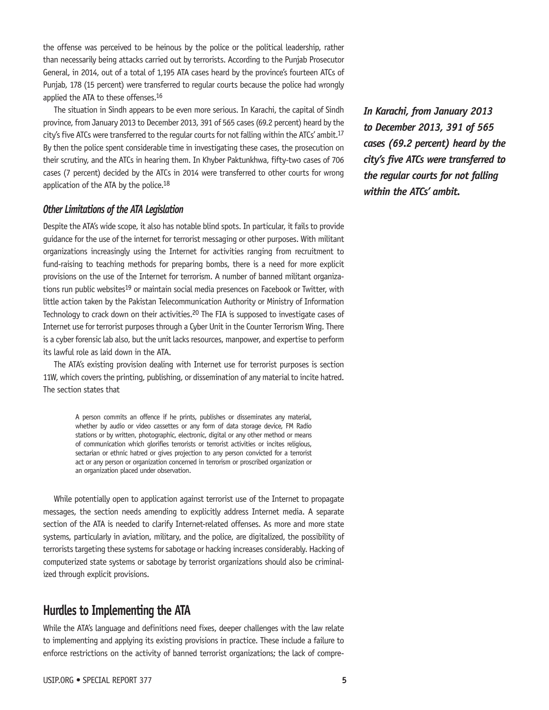the offense was perceived to be heinous by the police or the political leadership, rather than necessarily being attacks carried out by terrorists. According to the Punjab Prosecutor General, in 2014, out of a total of 1,195 ATA cases heard by the province's fourteen ATCs of Punjab, 178 (15 percent) were transferred to regular courts because the police had wrongly applied the ATA to these offenses.<sup>16</sup>

The situation in Sindh appears to be even more serious. In Karachi, the capital of Sindh province, from January 2013 to December 2013, 391 of 565 cases (69.2 percent) heard by the city's five ATCs were transferred to the regular courts for not falling within the ATCs' ambit.<sup>17</sup> By then the police spent considerable time in investigating these cases, the prosecution on their scrutiny, and the ATCs in hearing them. In Khyber Paktunkhwa, fifty-two cases of 706 cases (7 percent) decided by the ATCs in 2014 were transferred to other courts for wrong application of the ATA by the police.18

#### *Other Limitations of the ATA Legislation*

Despite the ATA's wide scope, it also has notable blind spots. In particular, it fails to provide guidance for the use of the internet for terrorist messaging or other purposes. With militant organizations increasingly using the Internet for activities ranging from recruitment to fund-raising to teaching methods for preparing bombs, there is a need for more explicit provisions on the use of the Internet for terrorism. A number of banned militant organizations run public websites<sup>19</sup> or maintain social media presences on Facebook or Twitter, with little action taken by the Pakistan Telecommunication Authority or Ministry of Information Technology to crack down on their activities.20 The FIA is supposed to investigate cases of Internet use for terrorist purposes through a Cyber Unit in the Counter Terrorism Wing. There is a cyber forensic lab also, but the unit lacks resources, manpower, and expertise to perform its lawful role as laid down in the ATA.

The ATA's existing provision dealing with Internet use for terrorist purposes is section 11W, which covers the printing, publishing, or dissemination of any material to incite hatred. The section states that

> A person commits an offence if he prints, publishes or disseminates any material, whether by audio or video cassettes or any form of data storage device, FM Radio stations or by written, photographic, electronic, digital or any other method or means of communication which glorifies terrorists or terrorist activities or incites religious, sectarian or ethnic hatred or gives projection to any person convicted for a terrorist act or any person or organization concerned in terrorism or proscribed organization or an organization placed under observation.

While potentially open to application against terrorist use of the Internet to propagate messages, the section needs amending to explicitly address Internet media. A separate section of the ATA is needed to clarify Internet-related offenses. As more and more state systems, particularly in aviation, military, and the police, are digitalized, the possibility of terrorists targeting these systems for sabotage or hacking increases considerably. Hacking of computerized state systems or sabotage by terrorist organizations should also be criminalized through explicit provisions.

## **Hurdles to Implementing the ATA**

While the ATA's language and definitions need fixes, deeper challenges with the law relate to implementing and applying its existing provisions in practice. These include a failure to enforce restrictions on the activity of banned terrorist organizations; the lack of compre*In Karachi, from January 2013 to December 2013, 391 of 565 cases (69.2 percent) heard by the city's five ATCs were transferred to the regular courts for not falling within the ATCs' ambit.*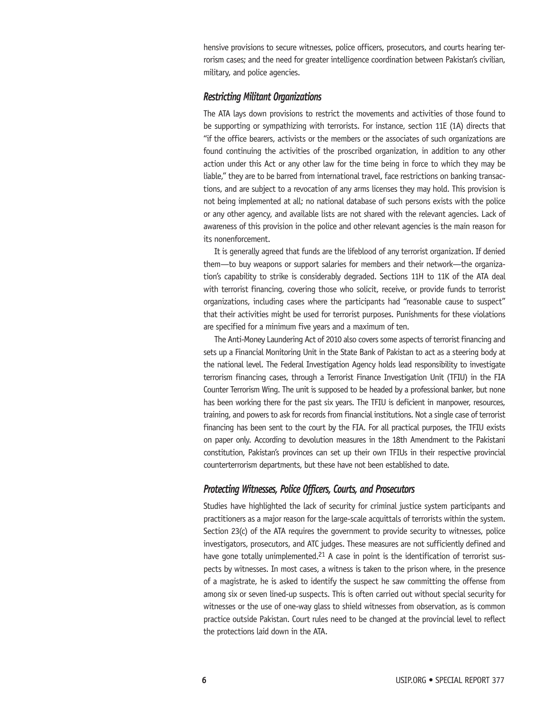hensive provisions to secure witnesses, police officers, prosecutors, and courts hearing terrorism cases; and the need for greater intelligence coordination between Pakistan's civilian, military, and police agencies.

#### *Restricting Militant Organizations*

The ATA lays down provisions to restrict the movements and activities of those found to be supporting or sympathizing with terrorists. For instance, section 11E (1A) directs that "if the office bearers, activists or the members or the associates of such organizations are found continuing the activities of the proscribed organization, in addition to any other action under this Act or any other law for the time being in force to which they may be liable," they are to be barred from international travel, face restrictions on banking transactions, and are subject to a revocation of any arms licenses they may hold. This provision is not being implemented at all; no national database of such persons exists with the police or any other agency, and available lists are not shared with the relevant agencies. Lack of awareness of this provision in the police and other relevant agencies is the main reason for its nonenforcement.

It is generally agreed that funds are the lifeblood of any terrorist organization. If denied them—to buy weapons or support salaries for members and their network—the organization's capability to strike is considerably degraded. Sections 11H to 11K of the ATA deal with terrorist financing, covering those who solicit, receive, or provide funds to terrorist organizations, including cases where the participants had "reasonable cause to suspect" that their activities might be used for terrorist purposes. Punishments for these violations are specified for a minimum five years and a maximum of ten.

The Anti-Money Laundering Act of 2010 also covers some aspects of terrorist financing and sets up a Financial Monitoring Unit in the State Bank of Pakistan to act as a steering body at the national level. The Federal Investigation Agency holds lead responsibility to investigate terrorism financing cases, through a Terrorist Finance Investigation Unit (TFIU) in the FIA Counter Terrorism Wing. The unit is supposed to be headed by a professional banker, but none has been working there for the past six years. The TFIU is deficient in manpower, resources, training, and powers to ask for records from financial institutions. Not a single case of terrorist financing has been sent to the court by the FIA. For all practical purposes, the TFIU exists on paper only. According to devolution measures in the 18th Amendment to the Pakistani constitution, Pakistan's provinces can set up their own TFIUs in their respective provincial counterterrorism departments, but these have not been established to date.

#### *Protecting Witnesses, Police Officers, Courts, and Prosecutors*

Studies have highlighted the lack of security for criminal justice system participants and practitioners as a major reason for the large-scale acquittals of terrorists within the system. Section 23(c) of the ATA requires the government to provide security to witnesses, police investigators, prosecutors, and ATC judges. These measures are not sufficiently defined and have gone totally unimplemented.<sup>21</sup> A case in point is the identification of terrorist suspects by witnesses. In most cases, a witness is taken to the prison where, in the presence of a magistrate, he is asked to identify the suspect he saw committing the offense from among six or seven lined-up suspects. This is often carried out without special security for witnesses or the use of one-way glass to shield witnesses from observation, as is common practice outside Pakistan. Court rules need to be changed at the provincial level to reflect the protections laid down in the ATA.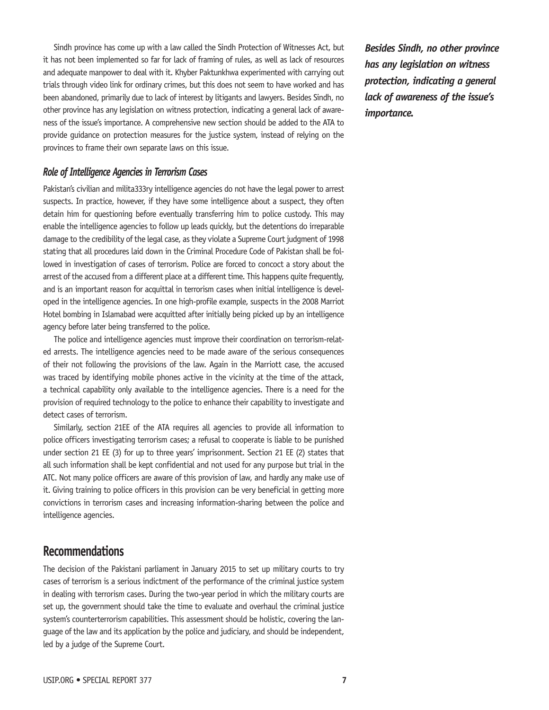Sindh province has come up with a law called the Sindh Protection of Witnesses Act, but it has not been implemented so far for lack of framing of rules, as well as lack of resources and adequate manpower to deal with it. Khyber Paktunkhwa experimented with carrying out trials through video link for ordinary crimes, but this does not seem to have worked and has been abandoned, primarily due to lack of interest by litigants and lawyers. Besides Sindh, no other province has any legislation on witness protection, indicating a general lack of awareness of the issue's importance. A comprehensive new section should be added to the ATA to provide guidance on protection measures for the justice system, instead of relying on the provinces to frame their own separate laws on this issue.

#### *Role of Intelligence Agencies in Terrorism Cases*

Pakistan's civilian and milita333ry intelligence agencies do not have the legal power to arrest suspects. In practice, however, if they have some intelligence about a suspect, they often detain him for questioning before eventually transferring him to police custody. This may enable the intelligence agencies to follow up leads quickly, but the detentions do irreparable damage to the credibility of the legal case, as they violate a Supreme Court judgment of 1998 stating that all procedures laid down in the Criminal Procedure Code of Pakistan shall be followed in investigation of cases of terrorism. Police are forced to concoct a story about the arrest of the accused from a different place at a different time. This happens quite frequently, and is an important reason for acquittal in terrorism cases when initial intelligence is developed in the intelligence agencies. In one high-profile example, suspects in the 2008 Marriot Hotel bombing in Islamabad were acquitted after initially being picked up by an intelligence agency before later being transferred to the police.

The police and intelligence agencies must improve their coordination on terrorism-related arrests. The intelligence agencies need to be made aware of the serious consequences of their not following the provisions of the law. Again in the Marriott case, the accused was traced by identifying mobile phones active in the vicinity at the time of the attack, a technical capability only available to the intelligence agencies. There is a need for the provision of required technology to the police to enhance their capability to investigate and detect cases of terrorism.

Similarly, section 21EE of the ATA requires all agencies to provide all information to police officers investigating terrorism cases; a refusal to cooperate is liable to be punished under section 21 EE (3) for up to three years' imprisonment. Section 21 EE (2) states that all such information shall be kept confidential and not used for any purpose but trial in the ATC. Not many police officers are aware of this provision of law, and hardly any make use of it. Giving training to police officers in this provision can be very beneficial in getting more convictions in terrorism cases and increasing information-sharing between the police and intelligence agencies.

### **Recommendations**

The decision of the Pakistani parliament in January 2015 to set up military courts to try cases of terrorism is a serious indictment of the performance of the criminal justice system in dealing with terrorism cases. During the two-year period in which the military courts are set up, the government should take the time to evaluate and overhaul the criminal justice system's counterterrorism capabilities. This assessment should be holistic, covering the language of the law and its application by the police and judiciary, and should be independent, led by a judge of the Supreme Court.

*Besides Sindh, no other province has any legislation on witness protection, indicating a general lack of awareness of the issue's importance.*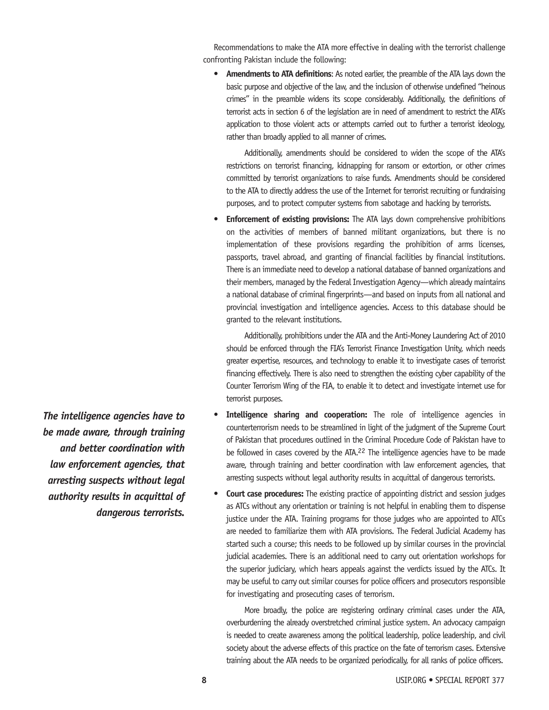Recommendations to make the ATA more effective in dealing with the terrorist challenge confronting Pakistan include the following:

**• Amendments to ATA definitions**: As noted earlier, the preamble of the ATA lays down the basic purpose and objective of the law, and the inclusion of otherwise undefined "heinous crimes" in the preamble widens its scope considerably. Additionally, the definitions of terrorist acts in section 6 of the legislation are in need of amendment to restrict the ATA's application to those violent acts or attempts carried out to further a terrorist ideology, rather than broadly applied to all manner of crimes.

Additionally, amendments should be considered to widen the scope of the ATA's restrictions on terrorist financing, kidnapping for ransom or extortion, or other crimes committed by terrorist organizations to raise funds. Amendments should be considered to the ATA to directly address the use of the Internet for terrorist recruiting or fundraising purposes, and to protect computer systems from sabotage and hacking by terrorists.

**Enforcement of existing provisions:** The ATA lays down comprehensive prohibitions on the activities of members of banned militant organizations, but there is no implementation of these provisions regarding the prohibition of arms licenses, passports, travel abroad, and granting of financial facilities by financial institutions. There is an immediate need to develop a national database of banned organizations and their members, managed by the Federal Investigation Agency—which already maintains a national database of criminal fingerprints—and based on inputs from all national and provincial investigation and intelligence agencies. Access to this database should be granted to the relevant institutions.

Additionally, prohibitions under the ATA and the Anti-Money Laundering Act of 2010 should be enforced through the FIA's Terrorist Finance Investigation Unity, which needs greater expertise, resources, and technology to enable it to investigate cases of terrorist financing effectively. There is also need to strengthen the existing cyber capability of the Counter Terrorism Wing of the FIA, to enable it to detect and investigate internet use for terrorist purposes.

- **Intelligence sharing and cooperation:** The role of intelligence agencies in counterterrorism needs to be streamlined in light of the judgment of the Supreme Court of Pakistan that procedures outlined in the Criminal Procedure Code of Pakistan have to be followed in cases covered by the ATA.<sup>22</sup> The intelligence agencies have to be made aware, through training and better coordination with law enforcement agencies, that arresting suspects without legal authority results in acquittal of dangerous terrorists.
- **Court case procedures:** The existing practice of appointing district and session judges as ATCs without any orientation or training is not helpful in enabling them to dispense justice under the ATA. Training programs for those judges who are appointed to ATCs are needed to familiarize them with ATA provisions. The Federal Judicial Academy has started such a course; this needs to be followed up by similar courses in the provincial judicial academies. There is an additional need to carry out orientation workshops for the superior judiciary, which hears appeals against the verdicts issued by the ATCs. It may be useful to carry out similar courses for police officers and prosecutors responsible for investigating and prosecuting cases of terrorism.

More broadly, the police are registering ordinary criminal cases under the ATA, overburdening the already overstretched criminal justice system. An advocacy campaign is needed to create awareness among the political leadership, police leadership, and civil society about the adverse effects of this practice on the fate of terrorism cases. Extensive training about the ATA needs to be organized periodically, for all ranks of police officers.

*The intelligence agencies have to be made aware, through training and better coordination with law enforcement agencies, that arresting suspects without legal authority results in acquittal of dangerous terrorists.*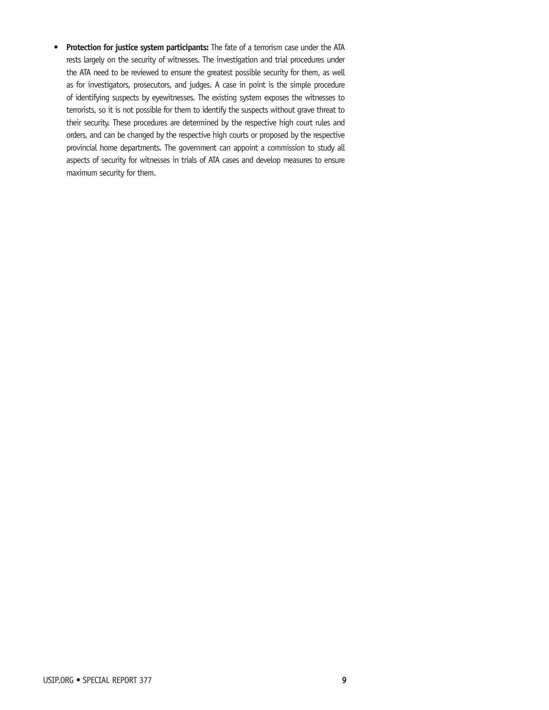**• Protection for justice system participants:** The fate of a terrorism case under the ATA rests largely on the security of witnesses. The investigation and trial procedures under the ATA need to be reviewed to ensure the greatest possible security for them, as well as for investigators, prosecutors, and judges. A case in point is the simple procedure of identifying suspects by eyewitnesses. The existing system exposes the witnesses to terrorists, so it is not possible for them to identify the suspects without grave threat to their security. These procedures are determined by the respective high court rules and orders, and can be changed by the respective high courts or proposed by the respective provincial home departments. The government can appoint a commission to study all aspects of security for witnesses in trials of ATA cases and develop measures to ensure maximum security for them.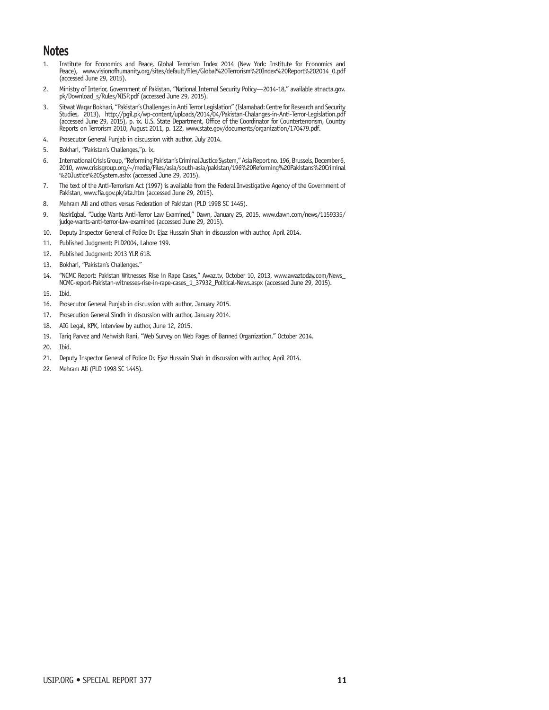# **Notes**

- 1. Institute for Economics and Peace, Global Terrorism Index 2014 (New York: Institute for Economics and Peace), www.visionofhumanity.org/sites/default/files/Global%20Terrorism%20Index%20Report%202014\_0.pdf (accessed June 29, 2015).
- 2. Ministry of Interior, Government of Pakistan, "National Internal Security Policy—2014-18," available atnacta.gov. pk/Download\_s/Rules/NISP.pdf (accessed June 29, 2015).
- 3. Sitwat Waqar Bokhari, "Pakistan's Challenges in Anti Terror Legislation" (Islamabad: Centre for Research and Security Studies, 2013), http://pgil.pk/wp-content/uploads/2014/04/Pakistan-Chalanges-in-Anti-Terror-Legislation.pdf (accessed June 29, 2015), p. ix. U.S. State Department, Office of the Coordinator for Counterterrorism, Country Reports on Terrorism 2010, August 2011, p. 122, www.state.gov/documents/organization/170479.pdf.
- 4. Prosecutor General Punjab in discussion with author, July 2014.
- 5. Bokhari, "Pakistan's Challenges,"p. ix.
- 6. International Crisis Group, "Reforming Pakistan's Criminal Justice System," Asia Report no. 196, Brussels, December 6, 2010, www.crisisgroup.org/~/media/Files/asia/south-asia/pakistan/196%20Reforming%20Pakistans%20Criminal %20Justice%20System.ashx (accessed June 29, 2015).
- 7. The text of the Anti-Terrorism Act (1997) is available from the Federal Investigative Agency of the Government of Pakistan, www.fia.gov.pk/ata.htm (accessed June 29, 2015).
- 8. Mehram Ali and others versus Federation of Pakistan (PLD 1998 SC 1445).
- 9. NasirIqbal, "Judge Wants Anti-Terror Law Examined," Dawn, January 25, 2015, www.dawn.com/news/1159335/ judge-wants-anti-terror-law-examined (accessed June 29, 2015).
- 10. Deputy Inspector General of Police Dr. Ejaz Hussain Shah in discussion with author, April 2014.
- 11. Published Judgment: PLD2004, Lahore 199.
- 12. Published Judgment: 2013 YLR 618.
- 13. Bokhari, "Pakistan's Challenges."
- 14. "NCMC Report: Pakistan Witnesses Rise in Rape Cases," Awaz.tv, October 10, 2013, www.awaztoday.com/News\_ NCMC-report-Pakistan-witnesses-rise-in-rape-cases\_1\_37932\_Political-News.aspx (accessed June 29, 2015).
- 15. Ibid.
- 16. Prosecutor General Punjab in discussion with author, January 2015.
- 17. Prosecution General Sindh in discussion with author, January 2014.
- 18. AIG Legal, KPK, interview by author, June 12, 2015.
- 19. Tariq Parvez and Mehwish Rani, "Web Survey on Web Pages of Banned Organization," October 2014.
- 20. Ibid.
- 21. Deputy Inspector General of Police Dr. Ejaz Hussain Shah in discussion with author, April 2014.
- 22. Mehram Ali (PLD 1998 SC 1445).